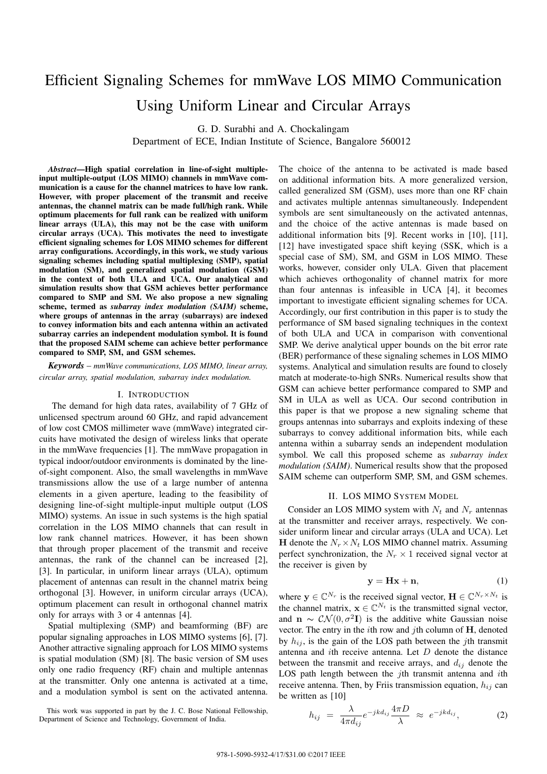# Efficient Signaling Schemes for mmWave LOS MIMO Communication Using Uniform Linear and Circular Arrays

G. D. Surabhi and A. Chockalingam

Department of ECE, Indian Institute of Science, Bangalore 560012

*Abstract*—High spatial correlation in line-of-sight multipleinput multiple-output (LOS MIMO) channels in mmWave communication is a cause for the channel matrices to have low rank. However, with proper placement of the transmit and receive antennas, the channel matrix can be made full/high rank. While optimum placements for full rank can be realized with uniform linear arrays (ULA), this may not be the case with uniform circular arrays (UCA). This motivates the need to investigate efficient signaling schemes for LOS MIMO schemes for different array configurations. Accordingly, in this work, we study various signaling schemes including spatial multiplexing (SMP), spatial modulation (SM), and generalized spatial modulation (GSM) in the context of both ULA and UCA. Our analytical and simulation results show that GSM achieves better performance compared to SMP and SM. We also propose a new signaling scheme, termed as *subarray index modulation (SAIM)* scheme, where groups of antennas in the array (subarrays) are indexed to convey information bits and each antenna within an activated subarray carries an independent modulation symbol. It is found that the proposed SAIM scheme can achieve better performance compared to SMP, SM, and GSM schemes.

*Keywords* – *mmWave communications, LOS MIMO, linear array, circular array, spatial modulation, subarray index modulation.*

#### I. INTRODUCTION

The demand for high data rates, availability of 7 GHz of unlicensed spectrum around 60 GHz, and rapid advancement of low cost CMOS millimeter wave (mmWave) integrated circuits have motivated the design of wireless links that operate in the mmWave frequencies [1]. The mmWave propagation in typical indoor/outdoor environments is dominated by the lineof-sight component. Also, the small wavelengths in mmWave transmissions allow the use of a large number of antenna elements in a given aperture, leading to the feasibility of designing line-of-sight multiple-input multiple output (LOS MIMO) systems. An issue in such systems is the high spatial correlation in the LOS MIMO channels that can result in low rank channel matrices. However, it has been shown that through proper placement of the transmit and receive antennas, the rank of the channel can be increased [2], [3]. In particular, in uniform linear arrays (ULA), optimum placement of antennas can result in the channel matrix being orthogonal [3]. However, in uniform circular arrays (UCA), optimum placement can result in orthogonal channel matrix only for arrays with 3 or 4 antennas [4].

Spatial multiplexing (SMP) and beamforming (BF) are popular signaling approaches in LOS MIMO systems [6], [7]. Another attractive signaling approach for LOS MIMO systems is spatial modulation (SM) [8]. The basic version of SM uses only one radio frequency (RF) chain and multiple antennas at the transmitter. Only one antenna is activated at a time, and a modulation symbol is sent on the activated antenna.

This work was supported in part by the J. C. Bose National Fellowship, Department of Science and Technology, Government of India.

The choice of the antenna to be activated is made based on additional information bits. A more generalized version, called generalized SM (GSM), uses more than one RF chain and activates multiple antennas simultaneously. Independent symbols are sent simultaneously on the activated antennas, and the choice of the active antennas is made based on additional information bits [9]. Recent works in [10], [11], [12] have investigated space shift keying (SSK, which is a special case of SM), SM, and GSM in LOS MIMO. These works, however, consider only ULA. Given that placement which achieves orthogonality of channel matrix for more than four antennas is infeasible in UCA [4], it becomes important to investigate efficient signaling schemes for UCA. Accordingly, our first contribution in this paper is to study the performance of SM based signaling techniques in the context of both ULA and UCA in comparison with conventional SMP. We derive analytical upper bounds on the bit error rate (BER) performance of these signaling schemes in LOS MIMO systems. Analytical and simulation results are found to closely match at moderate-to-high SNRs. Numerical results show that GSM can achieve better performance compared to SMP and SM in ULA as well as UCA. Our second contribution in this paper is that we propose a new signaling scheme that groups antennas into subarrays and exploits indexing of these subarrays to convey additional information bits, while each antenna within a subarray sends an independent modulation symbol. We call this proposed scheme as *subarray index modulation (SAIM)*. Numerical results show that the proposed SAIM scheme can outperform SMP, SM, and GSM schemes.

#### II. LOS MIMO SYSTEM MODEL

Consider an LOS MIMO system with  $N_t$  and  $N_r$  antennas at the transmitter and receiver arrays, respectively. We consider uniform linear and circular arrays (ULA and UCA). Let **H** denote the  $N_r \times N_t$  LOS MIMO channel matrix. Assuming perfect synchronization, the  $N_r \times 1$  received signal vector at the receiver is given by

$$
y = Hx + n,\tag{1}
$$

where  $y \in \mathbb{C}^{N_r}$  is the received signal vector,  $\mathbf{H} \in \mathbb{C}^{N_r \times N_t}$  is the channel matrix,  $\mathbf{x} \in \mathbb{C}^{N_t}$  is the transmitted signal vector, and  $\mathbf{n} \sim \mathcal{CN}(0, \sigma^2 \mathbf{I})$  is the additive white Gaussian noise vector. The entry in the *i*th row and *j*th column of **H**, denoted by  $h_{ij}$ , is the gain of the LOS path between the *j*th transmit antenna and *i*th receive antenna. Let *D* denote the distance between the transmit and receive arrays, and  $d_{ij}$  denote the LOS path length between the *j*th transmit antenna and *i*th receive antenna. Then, by Friis transmission equation,  $h_{ij}$  can be written as [10]

$$
h_{ij} = \frac{\lambda}{4\pi d_{ij}} e^{-jkd_{ij}} \frac{4\pi D}{\lambda} \approx e^{-jkd_{ij}}, \qquad (2)
$$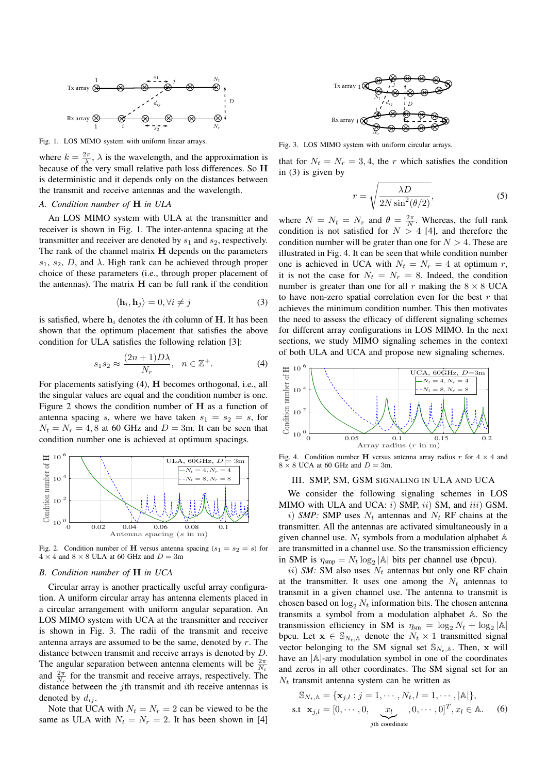

Fig. 1. LOS MIMO system with uniform linear arrays.

where  $k = \frac{2\pi}{\lambda}$ ,  $\lambda$  is the wavelength, and the approximation is because of the very small relative path loss differences. So **H** is deterministic and it depends only on the distances between the transmit and receive antennas and the wavelength.

#### *A. Condition number of* **H** *in ULA*

An LOS MIMO system with ULA at the transmitter and receiver is shown in Fig. 1. The inter-antenna spacing at the transmitter and receiver are denoted by  $s_1$  and  $s_2$ , respectively. The rank of the channel matrix **H** depends on the parameters  $s_1$ ,  $s_2$ , *D*, and  $\lambda$ . High rank can be achieved through proper choice of these parameters (i.e., through proper placement of the antennas). The matrix **H** can be full rank if the condition

$$
\langle \mathbf{h}_i, \mathbf{h}_j \rangle = 0, \forall i \neq j \tag{3}
$$

is satisfied, where **h***<sup>i</sup>* denotes the *i*th column of **H**. It has been shown that the optimum placement that satisfies the above condition for ULA satisfies the following relation [3]:

$$
s_1 s_2 \approx \frac{(2n+1)D\lambda}{N_r}, \quad n \in \mathbb{Z}^+.
$$
 (4)

For placements satisfying (4), **H** becomes orthogonal, i.e., all the singular values are equal and the condition number is one. Figure 2 shows the condition number of **H** as a function of antenna spacing *s*, where we have taken  $s_1 = s_2 = s$ , for  $N_t = N_r = 4, 8$  at 60 GHz and  $D = 3$ m. It can be seen that condition number one is achieved at optimum spacings.



Fig. 2. Condition number of **H** versus antenna spacing  $(s_1 = s_2 = s)$  for  $4 \times 4$  and  $8 \times 8$  ULA at 60 GHz and  $D = 3$ m

# *B. Condition number of* **H** *in UCA*

Circular array is another practically useful array configuration. A uniform circular array has antenna elements placed in a circular arrangement with uniform angular separation. An LOS MIMO system with UCA at the transmitter and receiver is shown in Fig. 3. The radii of the transmit and receive antenna arrays are assumed to be the same, denoted by *r*. The distance between transmit and receive arrays is denoted by *D*. The angular separation between antenna elements will be  $\frac{2\pi}{N_t}$ and  $\frac{2\pi}{N_r}$  for the transmit and receive arrays, respectively. The distance between the *j*th transmit and *i*th receive antennas is denoted by  $d_{ij}$ .

Note that UCA with  $N_t = N_r = 2$  can be viewed to be the same as ULA with  $N_t = N_r = 2$ . It has been shown in [4]



Fig. 3. LOS MIMO system with uniform circular arrays.

that for  $N_t = N_r = 3, 4$ , the *r* which satisfies the condition in (3) is given by

$$
r = \sqrt{\frac{\lambda D}{2N \sin^2(\theta/2)}},\tag{5}
$$

where  $N = N_t = N_r$  and  $\theta = \frac{2\pi}{N}$ . Whereas, the full rank condition is not satisfied for  $N > 4$  [4], and therefore the condition number will be grater than one for  $N > 4$ . These are illustrated in Fig. 4. It can be seen that while condition number one is achieved in UCA with  $N_t = N_r = 4$  at optimum *r*, it is not the case for  $N_t = N_r = 8$ . Indeed, the condition number is greater than one for all  $r$  making the  $8 \times 8$  UCA to have non-zero spatial correlation even for the best *r* that achieves the minimum condition number. This then motivates the need to assess the efficacy of different signaling schemes for different array configurations in LOS MIMO. In the next sections, we study MIMO signaling schemes in the context of both ULA and UCA and propose new signaling schemes.



Fig. 4. Condition number **H** versus antenna array radius  $r$  for  $4 \times 4$  and  $8 \times 8$  UCA at 60 GHz and  $D = 3$ m.

## III. SMP, SM, GSM SIGNALING IN ULA AND UCA

We consider the following signaling schemes in LOS MIMO with ULA and UCA: *i*) SMP, *ii*) SM, and *iii*) GSM.

*i*) *SMP:* SMP uses *N<sup>t</sup>* antennas and *N<sup>t</sup>* RF chains at the transmitter. All the antennas are activated simultaneously in a given channel use.  $N_t$  symbols from a modulation alphabet  $A$ are transmitted in a channel use. So the transmission efficiency in SMP is  $\eta_{\text{sup}} = N_t \log_2 |\mathbb{A}|$  bits per channel use (bpcu).

*ii*) *SM:* SM also uses  $N_t$  antennas but only one RF chain at the transmitter. It uses one among the  $N_t$  antennas to transmit in a given channel use. The antenna to transmit is chosen based on  $\log_2 N_t$  information bits. The chosen antenna transmits a symbol from a modulation alphabet A. So the transmission efficiency in SM is  $\eta_{\text{sm}} = \log_2 N_t + \log_2 |\mathbb{A}|$ bpcu. Let  $\mathbf{x} \in \mathbb{S}_{N_t, \mathbb{A}}$  denote the  $N_t \times 1$  transmitted signal vector belonging to the SM signal set  $\mathbb{S}_{N_t}$ . Then, **x** will have an *|*A*|*-ary modulation symbol in one of the coordinates and zeros in all other coordinates. The SM signal set for an  $N_t$  transmit antenna system can be written as

$$
\mathbb{S}_{N_t, \mathbb{A}} = \{ \mathbf{x}_{j,l} : j = 1, \cdots, N_t, l = 1, \cdots, |\mathbb{A}|\},
$$
  
s.t  $\mathbf{x}_{j,l} = [0, \cdots, 0, \underbrace{x_l}_{j\text{th coordinate}}, 0, \cdots, 0]^T, x_l \in \mathbb{A}.$  (6)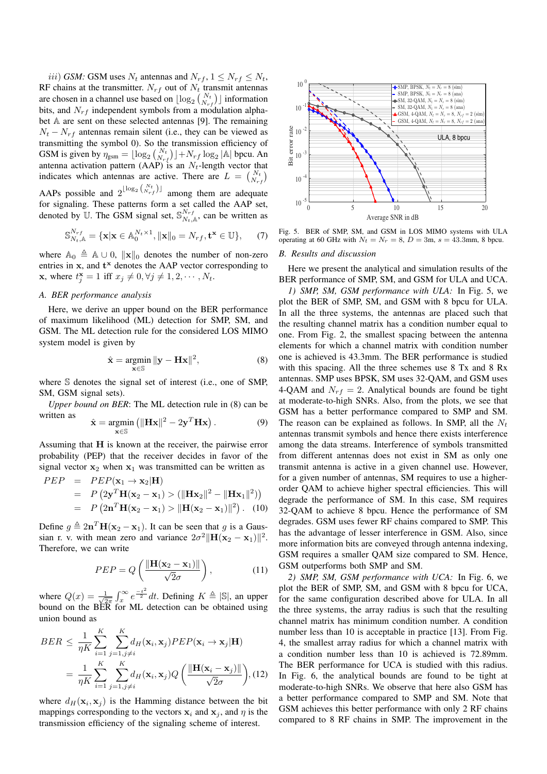*iii*) *GSM:* GSM uses  $N_t$  antennas and  $N_{rf}$ ,  $1 \leq N_{rf} \leq N_t$ , RF chains at the transmitter.  $N_{rf}$  out of  $N_t$  transmit antennas are chosen in a channel use based on  $\lfloor \log_2 \binom{N_t}{N_{rf}} \rfloor$  information bits, and *Nrf* independent symbols from a modulation alphabet A are sent on these selected antennas [9]. The remaining  $N_t - N_{rf}$  antennas remain silent (i.e., they can be viewed as transmitting the symbol 0). So the transmission efficiency of GSM is given by  $\eta_{\text{gsm}} = \lfloor \log_2 \binom{N_t}{N_{rf}} \rfloor + N_{rf} \log_2 |\mathbb{A}|$  bpcu. An antenna activation pattern (AAP) is an  $N_t$ -length vector that indicates which antennas are active. There are  $L = \binom{N_t}{N_{rf}}$ AAPs possible and  $2^{\lfloor \log_2 \binom{N_t}{N_{rf}} \rfloor}$  among them are adequate

for signaling. These patterns form a set called the AAP set, denoted by  $\mathbb{U}$ . The GSM signal set,  $\mathbb{S}_{N_t}^{N_{rf}}$  $N_t^{N_r f}$ , can be written as

$$
\mathbb{S}_{N_t,\mathbb{A}}^{N_{rf}} = \{ \mathbf{x} | \mathbf{x} \in \mathbb{A}_0^{N_t \times 1}, ||\mathbf{x}||_0 = N_{rf}, \mathbf{t}^{\mathbf{x}} \in \mathbb{U} \},\qquad(7)
$$

where  $\mathbb{A}_0 \triangleq \mathbb{A} \cup 0$ ,  $\|\mathbf{x}\|_0$  denotes the number of non-zero entries in **x**, and **t <sup>x</sup>** denotes the AAP vector corresponding to **x**, where  $t_j^{\mathbf{x}} = 1$  iff  $x_j \neq 0, \forall j \neq 1, 2, \dots, N_t$ .

# *A. BER performance analysis*

Here, we derive an upper bound on the BER performance of maximum likelihood (ML) detection for SMP, SM, and GSM. The ML detection rule for the considered LOS MIMO system model is given by

$$
\hat{\mathbf{x}} = \underset{\mathbf{x} \in \mathbb{S}}{\operatorname{argmin}} \|\mathbf{y} - \mathbf{H}\mathbf{x}\|^2, \tag{8}
$$

where S denotes the signal set of interest (i.e., one of SMP, SM, GSM signal sets).

*Upper bound on BER*: The ML detection rule in (8) can be written as

$$
\hat{\mathbf{x}} = \underset{\mathbf{x} \in \mathbb{S}}{\operatorname{argmin}} \left( \|\mathbf{H}\mathbf{x}\|^2 - 2\mathbf{y}^T \mathbf{H}\mathbf{x} \right). \tag{9}
$$

Assuming that **H** is known at the receiver, the pairwise error probability (PEP) that the receiver decides in favor of the signal vector  $x_2$  when  $x_1$  was transmitted can be written as

$$
PEP = PEP(\mathbf{x}_1 \to \mathbf{x}_2 | \mathbf{H})
$$
  
=  $P(2\mathbf{y}^T \mathbf{H}(\mathbf{x}_2 - \mathbf{x}_1) > (\|\mathbf{H}\mathbf{x}_2\|^2 - \|\mathbf{H}\mathbf{x}_1\|^2))$   
=  $P(2\mathbf{n}^T \mathbf{H}(\mathbf{x}_2 - \mathbf{x}_1) > \|\mathbf{H}(\mathbf{x}_2 - \mathbf{x}_1)\|^2)$ . (10)

Define  $g \triangleq 2n^T H(x_2 - x_1)$ . It can be seen that *g* is a Gaussian r. v. with mean zero and variance  $2\sigma^2 ||\mathbf{H}(\mathbf{x}_2 - \mathbf{x}_1)||^2$ . Therefore, we can write

$$
PEP = Q\left(\frac{\|\mathbf{H}(\mathbf{x}_2 - \mathbf{x}_1)\|}{\sqrt{2}\sigma}\right),\tag{11}
$$

where  $Q(x) = \frac{1}{\sqrt{2}}$  $\frac{1}{2\pi} \int_x^{\infty} e^{-\frac{t^2}{2}} dt$ . Defining  $K \triangleq |\mathbb{S}|$ , an upper bound on the BER for ML detection can be obtained using union bound as

$$
BER \leq \frac{1}{\eta K} \sum_{i=1}^{K} \sum_{j=1, j \neq i}^{K} d_H(\mathbf{x}_i, \mathbf{x}_j) P E P(\mathbf{x}_i \to \mathbf{x}_j | \mathbf{H})
$$
  
= 
$$
\frac{1}{\eta K} \sum_{i=1}^{K} \sum_{j=1, j \neq i}^{K} d_H(\mathbf{x}_i, \mathbf{x}_j) Q \left( \frac{\|\mathbf{H}(\mathbf{x}_i - \mathbf{x}_j)\|}{\sqrt{2}\sigma} \right), (12)
$$

where  $d_H(\mathbf{x}_i, \mathbf{x}_j)$  is the Hamming distance between the bit mappings corresponding to the vectors  $x_i$  and  $x_j$ , and  $\eta$  is the



Fig. 5. BER of SMP, SM, and GSM in LOS MIMO systems with ULA operating at 60 GHz with  $N_t = N_r = 8$ ,  $D = 3$ m,  $s = 43.3$ mm, 8 bpcu.

#### *B. Results and discussion*

Here we present the analytical and simulation results of the BER performance of SMP, SM, and GSM for ULA and UCA.

denoted by 1). The CSM speal on  $\frac{6\pi x}{5}$  (see the signaling scheme of the signaling scheme of the signal interest.  $\frac{3}{2}$  (see the signal of the signal of the signal interest.  $\frac{1}{2}$  (see the signal of the signa *1) SMP, SM, GSM performance with ULA:* In Fig. 5, we plot the BER of SMP, SM, and GSM with 8 bpcu for ULA. In all the three systems, the antennas are placed such that the resulting channel matrix has a condition number equal to one. From Fig. 2, the smallest spacing between the antenna elements for which a channel matrix with condition number one is achieved is 43.3mm. The BER performance is studied with this spacing. All the three schemes use 8 Tx and 8 Rx antennas. SMP uses BPSK, SM uses 32-QAM, and GSM uses 4-QAM and  $N_{rf} = 2$ . Analytical bounds are found be tight at moderate-to-high SNRs. Also, from the plots, we see that GSM has a better performance compared to SMP and SM. The reason can be explained as follows. In SMP, all the *N<sup>t</sup>* antennas transmit symbols and hence there exists interference among the data streams. Interference of symbols transmitted from different antennas does not exist in SM as only one transmit antenna is active in a given channel use. However, for a given number of antennas, SM requires to use a higherorder QAM to achieve higher spectral efficiencies. This will degrade the performance of SM. In this case, SM requires 32-QAM to achieve 8 bpcu. Hence the performance of SM degrades. GSM uses fewer RF chains compared to SMP. This has the advantage of lesser interference in GSM. Also, since more information bits are conveyed through antenna indexing, GSM requires a smaller QAM size compared to SM. Hence, GSM outperforms both SMP and SM.

*2) SMP, SM, GSM performance with UCA:* In Fig. 6, we plot the BER of SMP, SM, and GSM with 8 bpcu for UCA, for the same configuration described above for ULA. In all the three systems, the array radius is such that the resulting channel matrix has minimum condition number. A condition number less than 10 is acceptable in practice [13]. From Fig. 4, the smallest array radius for which a channel matrix with a condition number less than 10 is achieved is 72.89mm. The BER performance for UCA is studied with this radius. In Fig. 6, the analytical bounds are found to be tight at moderate-to-high SNRs. We observe that here also GSM has a better performance compared to SMP and SM. Note that GSM achieves this better performance with only 2 RF chains compared to 8 RF chains in SMP. The improvement in the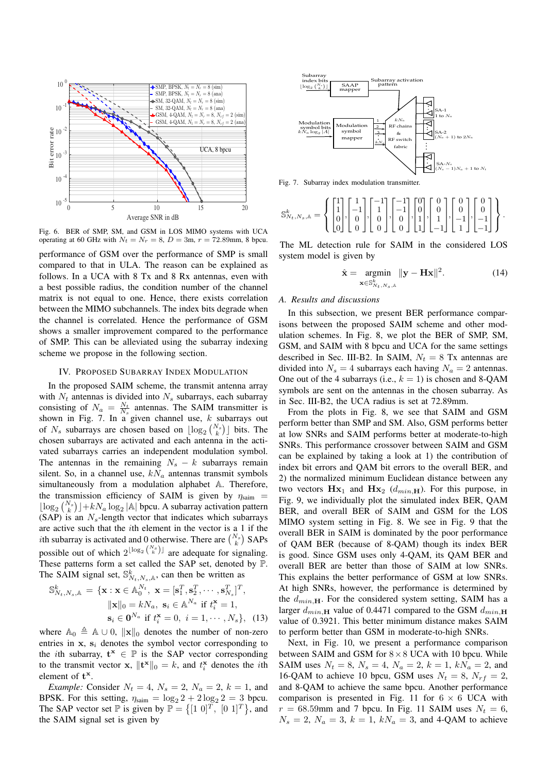

Fig. 6. BER of SMP, SM, and GSM in LOS MIMO systems with UCA operating at 60 GHz with  $N_t = N_r = 8$ ,  $D = 3$ m,  $r = 72.89$ mm, 8 bpcu.

performance of GSM over the performance of SMP is small compared to that in ULA. The reason can be explained as follows. In a UCA with 8 Tx and 8 Rx antennas, even with a best possible radius, the condition number of the channel matrix is not equal to one. Hence, there exists correlation between the MIMO subchannels. The index bits degrade when the channel is correlated. Hence the performance of GSM shows a smaller improvement compared to the performance of SMP. This can be alleviated using the subarray indexing scheme we propose in the following section.

# IV. PROPOSED SUBARRAY INDEX MODULATION

In the proposed SAIM scheme, the transmit antenna array with  $N_t$  antennas is divided into  $N_s$  subarrays, each subarray consisting of  $N_a = \frac{N_t}{N_s}$  antennas. The SAIM transmitter is shown in Fig. 7. In a given channel use, *k* subarrays out of  $N_s$  subarrays are chosen based on  $\lfloor \log_2 {N_s \choose k} \rfloor$  bits. The chosen subarrays are activated and each antenna in the activated subarrays carries an independent modulation symbol. The antennas in the remaining  $N_s - k$  subarrays remain silent. So, in a channel use,  $kN_a$  antennas transmit symbols simultaneously from a modulation alphabet A. Therefore, the transmission efficiency of SAIM is given by *η*saim =  $\lfloor \log_2 {N_s \choose k} \rfloor + kN_a \log_2 |\mathbb{A}|$  bpcu. A subarray activation pattern  $(SAP)$  is an  $N_s$ -length vector that indicates which subarrays are active such that the *i*th element in the vector is a 1 if the *i*th subarray is activated and 0 otherwise. There are  $\binom{N_s}{k}$  SAPs possible out of which  $2^{\lfloor \log_2 \binom{N_s}{k} \rfloor}$  are adequate for signaling. These patterns form a set called the SAP set, denoted by P. The SAIM signal set,  $\mathbb{S}^k_{N_t,N_s,\mathbb{A}}$ , can then be written as

$$
\mathbb{S}_{N_t,N_s,\mathbb{A}}^k = \{ \mathbf{x} : \mathbf{x} \in \mathbb{A}_0^{N_t}, \ \mathbf{x} = [\mathbf{s}_1^T, \mathbf{s}_2^T, \cdots, \mathbf{s}_{N_s}^T]^T, \|\mathbf{x}\|_0 = kN_a, \ \mathbf{s}_i \in \mathbb{A}^{N_a} \text{ if } t_i^{\mathbf{x}} = 1, \mathbf{s}_i \in \mathbf{0}^{N_a} \text{ if } t_i^{\mathbf{x}} = 0, \ i = 1, \cdots, N_s \}, \tag{13}
$$

where  $\mathbb{A}_0 \triangleq \mathbb{A} \cup 0$ ,  $\|\mathbf{x}\|_0$  denotes the number of non-zero entries in  $x$ ,  $s_i$  denotes the symbol vector corresponding to the *i*th subarray,  $\mathbf{t}^{\mathbf{x}} \in \mathbb{P}$  is the SAP vector corresponding to the transmit vector **x**,  $||\mathbf{t}^{\mathbf{x}}||_0 = k$ , and  $t_i^{\mathbf{x}}$  denotes the *i*th element of **t x** .

*Example:* Consider  $N_t = 4$ ,  $N_s = 2$ ,  $N_a = 2$ ,  $k = 1$ , and BPSK. For this setting,  $\eta_{\text{saim}} = \log_2 2 + 2 \log_2 2 = 3$  bpcu. The SAP vector set  $\mathbb{P}$  is given by  $\mathbb{P} = \{ [1 \ 0]^T, [0 \ 1]^T \}$ , and the SAIM signal set is given by



Fig. 7. Subarray index modulation transmitter.

$$
\mathbb{S}^k_{N_t,N_s,\mathbb{A}} = \left\{ \begin{bmatrix} 1 \\ 1 \\ 0 \\ 0 \end{bmatrix}, \begin{bmatrix} 1 \\ -1 \\ 0 \\ 0 \end{bmatrix}, \begin{bmatrix} -1 \\ 1 \\ 0 \\ 0 \end{bmatrix}, \begin{bmatrix} -1 \\ -1 \\ 0 \\ 0 \end{bmatrix}, \begin{bmatrix} 0 \\ 0 \\ 1 \\ 1 \end{bmatrix}, \begin{bmatrix} 0 \\ 0 \\ 1 \\ -1 \end{bmatrix}, \begin{bmatrix} 0 \\ 0 \\ -1 \\ -1 \end{bmatrix}, \begin{bmatrix} 0 \\ 0 \\ -1 \\ -1 \end{bmatrix} \right\}.
$$

The ML detection rule for SAIM in the considered LOS system model is given by

$$
\hat{\mathbf{x}} = \underset{\mathbf{x} \in \mathbb{S}_{N_t,N_s,\mathbb{A}}^k}{\text{argmin}} \|\mathbf{y} - \mathbf{H}\mathbf{x}\|^2. \tag{14}
$$

# *A. Results and discussions*

In this subsection, we present BER performance comparisons between the proposed SAIM scheme and other modulation schemes. In Fig. 8, we plot the BER of SMP, SM, GSM, and SAIM with 8 bpcu and UCA for the same settings described in Sec. III-B2. In SAIM,  $N_t = 8$  Tx antennas are divided into  $N_s = 4$  subarrays each having  $N_a = 2$  antennas. One out of the 4 subarrays (i.e.,  $k = 1$ ) is chosen and 8-QAM symbols are sent on the antennas in the chosen subarray. As in Sec. III-B2, the UCA radius is set at 72.89mm.

From the plots in Fig. 8, we see that SAIM and GSM perform better than SMP and SM. Also, GSM performs better at low SNRs and SAIM performs better at moderate-to-high SNRs. This performance crossover between SAIM and GSM can be explained by taking a look at 1) the contribution of index bit errors and QAM bit errors to the overall BER, and 2) the normalized minimum Euclidean distance between any two vectors  $Hx_1$  and  $Hx_2$  ( $d_{min,H}$ ). For this purpose, in Fig. 9, we individually plot the simulated index BER, QAM BER, and overall BER of SAIM and GSM for the LOS MIMO system setting in Fig. 8. We see in Fig. 9 that the overall BER in SAIM is dominated by the poor performance of QAM BER (because of 8-QAM) though its index BER is good. Since GSM uses only 4-QAM, its QAM BER and overall BER are better than those of SAIM at low SNRs. This explains the better performance of GSM at low SNRs. At high SNRs, however, the performance is determined by the *dmin,***H**. For the considered system setting, SAIM has a larger  $d_{min}$  **H** value of 0.4471 compared to the GSM  $d_{min}$  **H** value of 0.3921. This better minimum distance makes SAIM to perform better than GSM in moderate-to-high SNRs.

Next, in Fig. 10, we present a performance comparison between SAIM and GSM for 8*×*8 UCA with 10 bpcu. While SAIM uses  $N_t = 8$ ,  $N_s = 4$ ,  $N_a = 2$ ,  $k = 1$ ,  $kN_a = 2$ , and 16-QAM to achieve 10 bpcu, GSM uses  $N_t = 8$ ,  $N_{rf} = 2$ , and 8-QAM to achieve the same bpcu. Another performance comparison is presented in Fig. 11 for  $6 \times 6$  UCA with  $r = 68.59$ mm and 7 bpcu. In Fig. 11 SAIM uses  $N_t = 6$ ,  $N_s = 2$ ,  $N_a = 3$ ,  $k = 1$ ,  $kN_a = 3$ , and 4-QAM to achieve